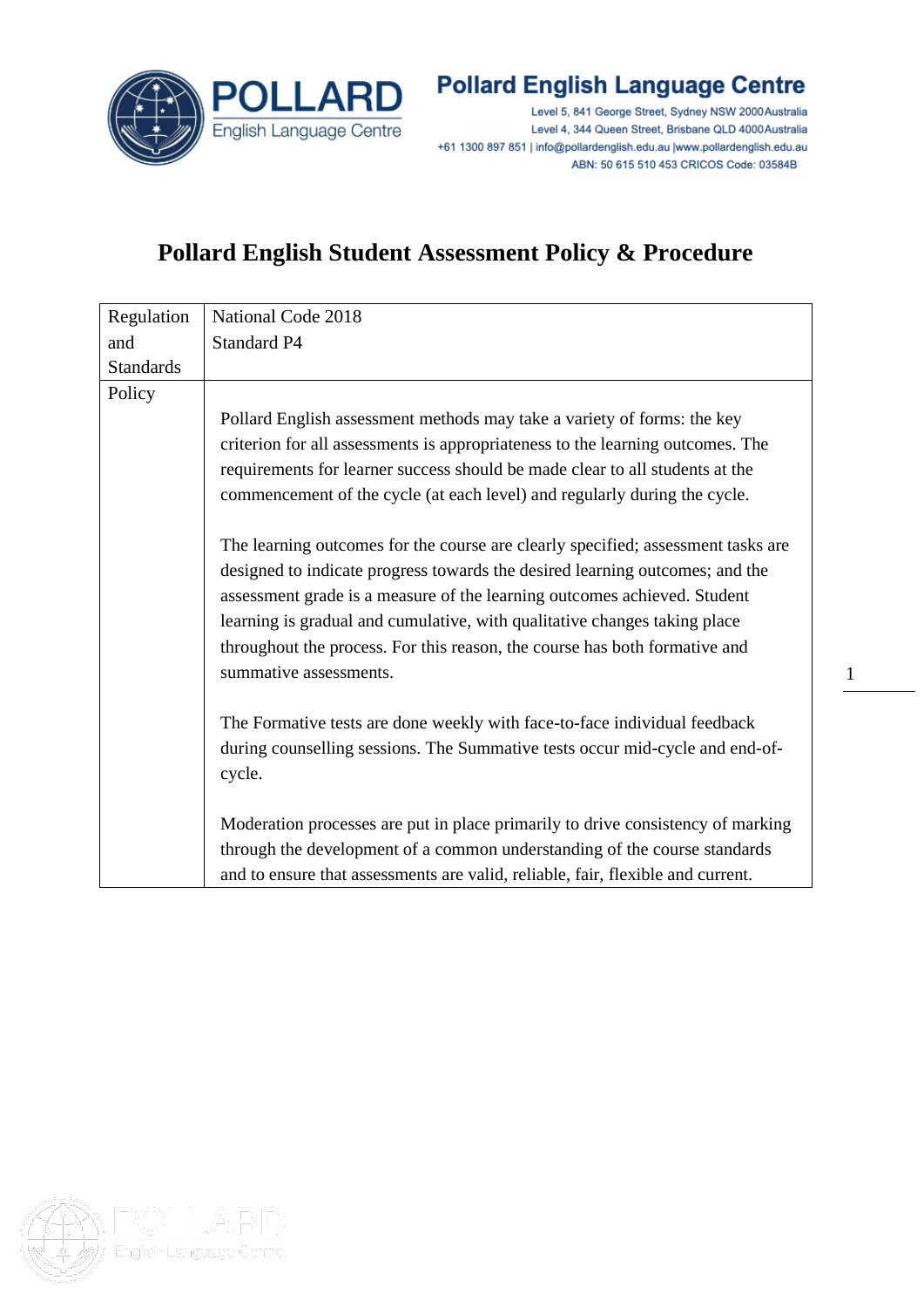

## **Pollard English Language Centre**

Level 5, 841 George Street, Sydney NSW 2000 Australia Level 4, 344 Queen Street, Brisbane QLD 4000 Australia +61 1300 897 851 | info@pollardenglish.edu.au |www.pollardenglish.edu.au ABN: 50 615 510 453 CRICOS Code: 03584B

1

## **Pollard English Student Assessment Policy & Procedure**

| Regulation       | National Code 2018                                                               |
|------------------|----------------------------------------------------------------------------------|
| and              | Standard P4                                                                      |
| <b>Standards</b> |                                                                                  |
| Policy           |                                                                                  |
|                  | Pollard English assessment methods may take a variety of forms: the key          |
|                  | criterion for all assessments is appropriateness to the learning outcomes. The   |
|                  | requirements for learner success should be made clear to all students at the     |
|                  | commencement of the cycle (at each level) and regularly during the cycle.        |
|                  |                                                                                  |
|                  | The learning outcomes for the course are clearly specified; assessment tasks are |
|                  | designed to indicate progress towards the desired learning outcomes; and the     |
|                  | assessment grade is a measure of the learning outcomes achieved. Student         |
|                  | learning is gradual and cumulative, with qualitative changes taking place        |
|                  | throughout the process. For this reason, the course has both formative and       |
|                  | summative assessments.                                                           |
|                  |                                                                                  |
|                  | The Formative tests are done weekly with face-to-face individual feedback        |
|                  | during counselling sessions. The Summative tests occur mid-cycle and end-of-     |
|                  | cycle.                                                                           |
|                  |                                                                                  |
|                  | Moderation processes are put in place primarily to drive consistency of marking  |
|                  | through the development of a common understanding of the course standards        |
|                  | and to ensure that assessments are valid, reliable, fair, flexible and current.  |

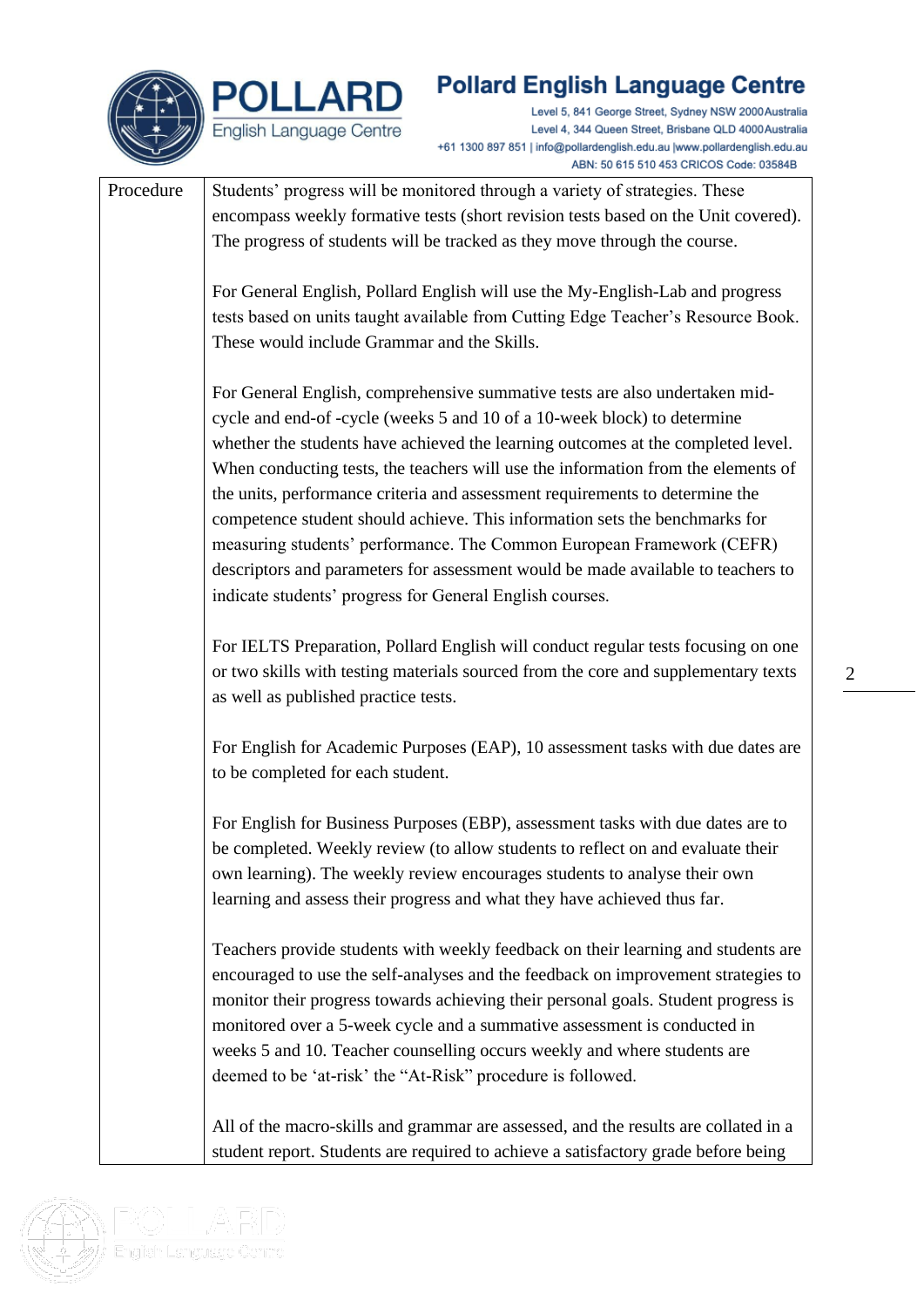

## **Pollard English Language Centre**

Level 5, 841 George Street, Sydney NSW 2000 Australia Level 4, 344 Queen Street, Brisbane QLD 4000 Australia +61 1300 897 851 | info@pollardenglish.edu.au |www.pollardenglish.edu.au ABN: 50 615 510 453 CRICOS Code: 03584B

Procedure  $\vert$  Students' progress will be monitored through a variety of strategies. These encompass weekly formative tests (short revision tests based on the Unit covered). The progress of students will be tracked as they move through the course. For General English, Pollard English will use the My-English-Lab and progress tests based on units taught available from Cutting Edge Teacher's Resource Book. These would include Grammar and the Skills. For General English, comprehensive summative tests are also undertaken midcycle and end-of -cycle (weeks 5 and 10 of a 10-week block) to determine whether the students have achieved the learning outcomes at the completed level. When conducting tests, the teachers will use the information from the elements of the units, performance criteria and assessment requirements to determine the competence student should achieve. This information sets the benchmarks for measuring students' performance. The Common European Framework (CEFR) descriptors and parameters for assessment would be made available to teachers to indicate students' progress for General English courses. For IELTS Preparation, Pollard English will conduct regular tests focusing on one or two skills with testing materials sourced from the core and supplementary texts as well as published practice tests. For English for Academic Purposes (EAP), 10 assessment tasks with due dates are to be completed for each student. For English for Business Purposes (EBP), assessment tasks with due dates are to be completed. Weekly review (to allow students to reflect on and evaluate their own learning). The weekly review encourages students to analyse their own learning and assess their progress and what they have achieved thus far. Teachers provide students with weekly feedback on their learning and students are encouraged to use the self-analyses and the feedback on improvement strategies to monitor their progress towards achieving their personal goals. Student progress is monitored over a 5-week cycle and a summative assessment is conducted in weeks 5 and 10. Teacher counselling occurs weekly and where students are deemed to be 'at-risk' the "At-Risk" procedure is followed. All of the macro-skills and grammar are assessed, and the results are collated in a student report. Students are required to achieve a satisfactory grade before being